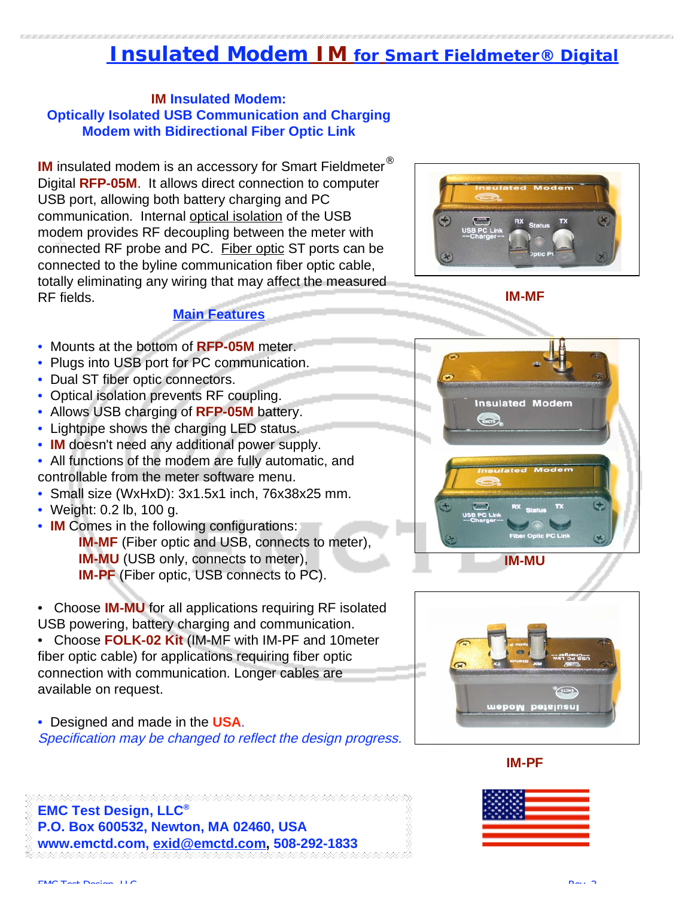## **Insulated Modem IM for Smart Fieldmeter® Digital**

#### **IM Insulated Modem: Optically Isolated USB Communication and Charging Modem with Bidirectional Fiber Optic Link**

**IM** insulated modem is an accessory for Smart Fieldmeter<sup>®</sup> Digital **RFP-05M**. It allows direct connection to computer USB port, allowing both battery charging and PC communication. Internal optical isolation of the USB modem provides RF decoupling between the meter with connected RF probe and PC. Fiber optic ST ports can be connected to the byline communication fiber optic cable, totally eliminating any wiring that may affect the measured RF fields.



**IM-MF**

### **Main Features**

- Mounts at the bottom of **RFP-05M** meter.
- Plugs into USB port for PC communication.
- Dual ST fiber optic connectors.
- Optical isolation prevents RF coupling.
- Allows USB charging of **RFP-05M** battery.
- Lightpipe shows the charging LED status.
- **IM** doesn't need any additional power supply.
- All functions of the modem are fully automatic, and controllable from the meter software menu.
- Small size (WxHxD): 3x1.5x1 inch, 76x38x25 mm.
- Weight: 0.2 lb, 100 g.
- **IM** Comes in the following configurations: **IM-MF** (Fiber optic and USB, connects to meter), **IM-MU** (USB only, connects to meter), **IM-PF** (Fiber optic, USB connects to PC).
- Choose **IM-MU** for all applications requiring RF isolated USB powering, battery charging and communication.
- Choose **FOLK-02 Kit** (IM-MF with IM-PF and 10meter fiber optic cable) for applications requiring fiber optic connection with communication. Longer cables are available on request.
- Designed and made in the **USA**. Specification may be changed to reflect the design progress.





#### **IM-PF**